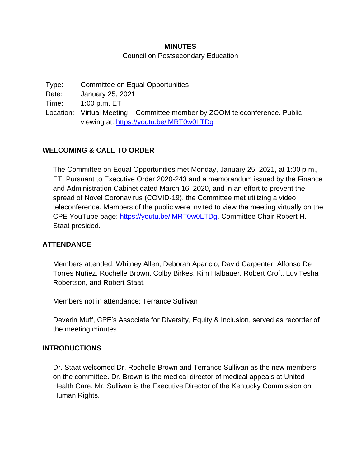# **MINUTES** Council on Postsecondary Education

| Type: | Committee on Equal Opportunities                                            |
|-------|-----------------------------------------------------------------------------|
| Date: | January 25, 2021                                                            |
| Time: | 1:00 p.m. ET                                                                |
|       | Location: Virtual Meeting – Committee member by ZOOM teleconference. Public |
|       | viewing at: https://youtu.be/iMRT0w0LTDg                                    |

## **WELCOMING & CALL TO ORDER**

The Committee on Equal Opportunities met Monday, January 25, 2021, at 1:00 p.m., ET. Pursuant to Executive Order 2020-243 and a memorandum issued by the Finance and Administration Cabinet dated March 16, 2020, and in an effort to prevent the spread of Novel Coronavirus (COVID-19), the Committee met utilizing a video teleconference. Members of the public were invited to view the meeting virtually on the CPE YouTube page: [https://youtu.be/iMRT0w0LTDg.](https://youtu.be/iMRT0w0LTDg) Committee Chair Robert H. Staat presided.

#### **ATTENDANCE**

Members attended: Whitney Allen, Deborah Aparicio, David Carpenter, Alfonso De Torres Nuñez, Rochelle Brown, Colby Birkes, Kim Halbauer, Robert Croft, Luv'Tesha Robertson, and Robert Staat.

Members not in attendance: Terrance Sullivan

Deverin Muff, CPE's Associate for Diversity, Equity & Inclusion, served as recorder of the meeting minutes.

#### **INTRODUCTIONS**

Dr. Staat welcomed Dr. Rochelle Brown and Terrance Sullivan as the new members on the committee. Dr. Brown is the medical director of medical appeals at United Health Care. Mr. Sullivan is the Executive Director of the Kentucky Commission on Human Rights.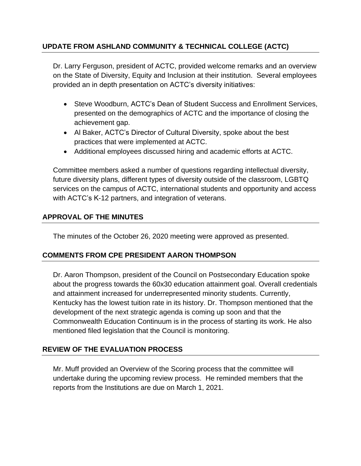# **UPDATE FROM ASHLAND COMMUNITY & TECHNICAL COLLEGE (ACTC)**

Dr. Larry Ferguson, president of ACTC, provided welcome remarks and an overview on the State of Diversity, Equity and Inclusion at their institution. Several employees provided an in depth presentation on ACTC's diversity initiatives:

- Steve Woodburn, ACTC's Dean of Student Success and Enrollment Services, presented on the demographics of ACTC and the importance of closing the achievement gap.
- Al Baker, ACTC's Director of Cultural Diversity, spoke about the best practices that were implemented at ACTC.
- Additional employees discussed hiring and academic efforts at ACTC.

Committee members asked a number of questions regarding intellectual diversity, future diversity plans, different types of diversity outside of the classroom, LGBTQ services on the campus of ACTC, international students and opportunity and access with ACTC's K-12 partners, and integration of veterans.

## **APPROVAL OF THE MINUTES**

The minutes of the October 26, 2020 meeting were approved as presented.

# **COMMENTS FROM CPE PRESIDENT AARON THOMPSON**

Dr. Aaron Thompson, president of the Council on Postsecondary Education spoke about the progress towards the 60x30 education attainment goal. Overall credentials and attainment increased for underrepresented minority students. Currently, Kentucky has the lowest tuition rate in its history. Dr. Thompson mentioned that the development of the next strategic agenda is coming up soon and that the Commonwealth Education Continuum is in the process of starting its work. He also mentioned filed legislation that the Council is monitoring.

# **REVIEW OF THE EVALUATION PROCESS**

Mr. Muff provided an Overview of the Scoring process that the committee will undertake during the upcoming review process. He reminded members that the reports from the Institutions are due on March 1, 2021.